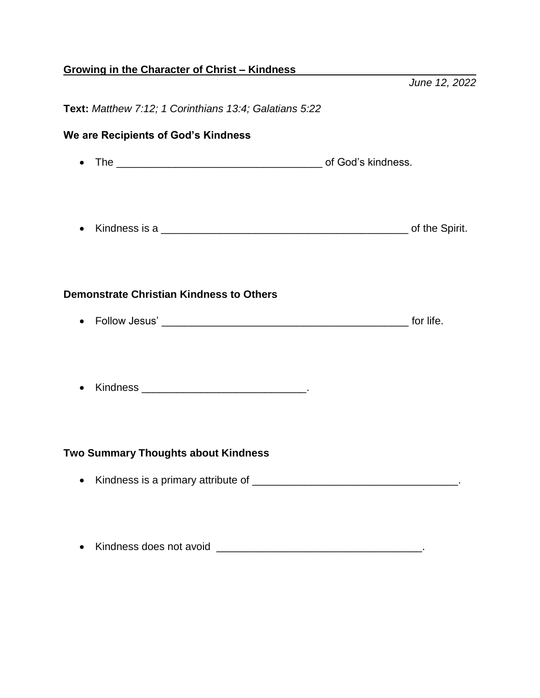## **Growing in the Character of Christ – Kindness**

*June 12, 2022*

## **Text:** *Matthew 7:12; 1 Corinthians 13:4; Galatians 5:22*

## **We are Recipients of God's Kindness** The \_\_\_\_\_\_\_\_\_\_\_\_\_\_\_\_\_\_\_\_\_\_\_\_\_\_\_\_\_\_\_\_\_\_\_ of God's kindness. • Kindness is a **All and Spirit. Demonstrate Christian Kindness to Others** • Follow Jesus' and the state of the state of the state of the state of the state of the state of the state of the state of the state of the state of the state of the state of the state of the state of the state of the sta • Kindness \_\_\_\_\_\_\_\_\_\_\_\_\_\_\_\_\_\_\_\_\_\_\_\_\_\_\_\_\_\_\_. **Two Summary Thoughts about Kindness** Kindness is a primary attribute of \_\_\_\_\_\_\_\_\_\_\_\_\_\_\_\_\_\_\_\_\_\_\_\_\_\_\_\_\_\_\_\_\_\_\_.

Kindness does not avoid \_\_\_\_\_\_\_\_\_\_\_\_\_\_\_\_\_\_\_\_\_\_\_\_\_\_\_\_\_\_\_\_\_\_\_.